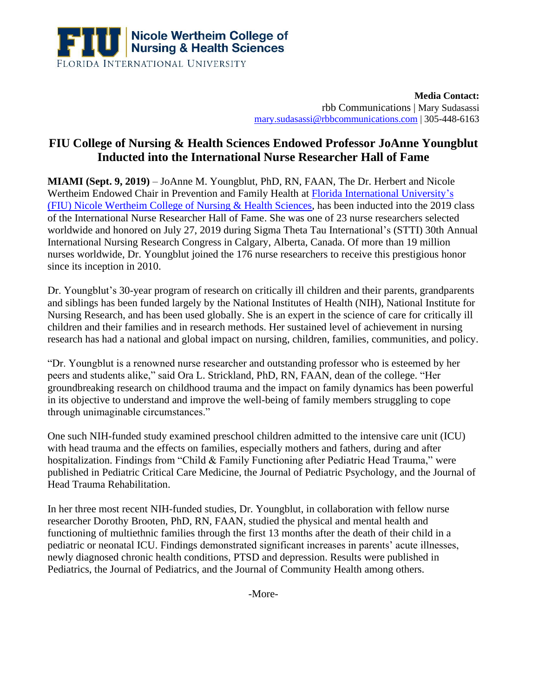

**Media Contact:**  rbb Communications | Mary Sudasassi [mary.sudasassi@rbbcommunications.com](mailto:alex.guerin@rbbcommunications.com) | 305-448-6163

## **FIU College of Nursing & Health Sciences Endowed Professor JoAnne Youngblut Inducted into the International Nurse Researcher Hall of Fame**

**MIAMI (Sept. 9, 2019)** – JoAnne M. Youngblut, PhD, RN, FAAN, The Dr. Herbert and Nicole Wertheim Endowed Chair in Prevention and Family Health at [Florida International University's](http://cnhs.fiu.edu/) [\(FIU\) Nicole Wertheim College of Nursing & Health Sciences,](http://cnhs.fiu.edu/) has been inducted into the 2019 class of the International Nurse Researcher Hall of Fame. She was one of 23 nurse researchers selected worldwide and honored on July 27, 2019 during Sigma Theta Tau International's (STTI) 30th Annual International Nursing Research Congress in Calgary, Alberta, Canada. Of more than 19 million nurses worldwide, Dr. Youngblut joined the 176 nurse researchers to receive this prestigious honor since its inception in 2010.

Dr. Youngblut's 30-year program of research on critically ill children and their parents, grandparents and siblings has been funded largely by the National Institutes of Health (NIH), National Institute for Nursing Research, and has been used globally. She is an expert in the science of care for critically ill children and their families and in research methods. Her sustained level of achievement in nursing research has had a national and global impact on nursing, children, families, communities, and policy.

"Dr. Youngblut is a renowned nurse researcher and outstanding professor who is esteemed by her peers and students alike," said Ora L. Strickland, PhD, RN, FAAN, dean of the college. "Her groundbreaking research on childhood trauma and the impact on family dynamics has been powerful in its objective to understand and improve the well-being of family members struggling to cope through unimaginable circumstances."

One such NIH-funded study examined preschool children admitted to the intensive care unit (ICU) with head trauma and the effects on families, especially mothers and fathers, during and after hospitalization. Findings from "Child & Family Functioning after Pediatric Head Trauma," were published in Pediatric Critical Care Medicine, the Journal of Pediatric Psychology, and the Journal of Head Trauma Rehabilitation.

In her three most recent NIH-funded studies, Dr. Youngblut, in collaboration with fellow nurse researcher Dorothy Brooten, PhD, RN, FAAN, studied the physical and mental health and functioning of multiethnic families through the first 13 months after the death of their child in a pediatric or neonatal ICU. Findings demonstrated significant increases in parents' acute illnesses, newly diagnosed chronic health conditions, PTSD and depression. Results were published in Pediatrics, the Journal of Pediatrics, and the Journal of Community Health among others.

-More-